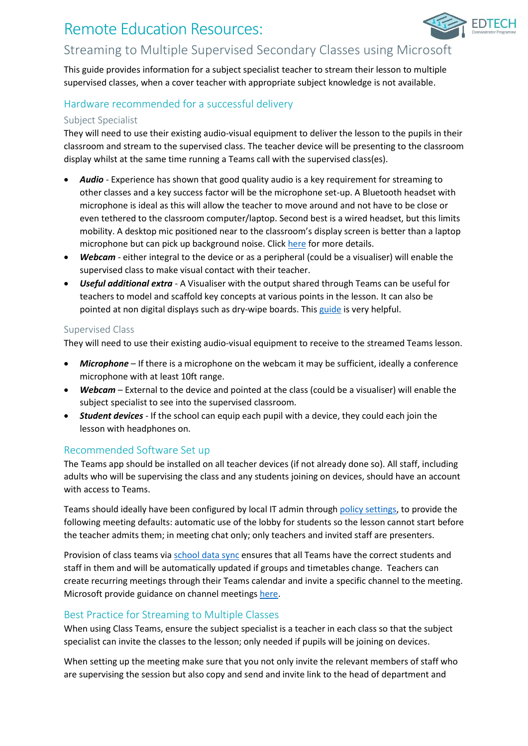# Remote Education Resources:



# Streaming to Multiple Supervised Secondary Classes using Microsoft

This guide provides information for a subject specialist teacher to stream their lesson to multiple supervised classes, when a cover teacher with appropriate subject knowledge is not available.

# Hardware recommended for a successful delivery

### Subject Specialist

They will need to use their existing audio-visual equipment to deliver the lesson to the pupils in their classroom and stream to the supervised class. The teacher device will be presenting to the classroom display whilst at the same time running a Teams call with the supervised class(es).

- *Audio* Experience has shown that good quality audio is a key requirement for streaming to other classes and a key success factor will be the microphone set-up. A Bluetooth headset with microphone is ideal as this will allow the teacher to move around and not have to be close or even tethered to the classroom computer/laptop. Second best is a wired headset, but this limits mobility. A desktop mic positioned near to the classroom's display screen is better than a laptop microphone but can pick up background noise. Clic[k here](https://edtechdemo.ucst.uk/news-views/blogs-media/artmid/880/articleid/10/hybrid-lessons-overcoming-the-challenge-of-simultaneously-teaching-both-physically-present-and-remote-pupils-by-james-garnett) for more details.
- *Webcam* either integral to the device or as a peripheral (could be a visualiser) will enable the supervised class to make visual contact with their teacher.
- *Useful additional extra* A Visualiser with the output shared through Teams can be useful for teachers to model and scaffold key concepts at various points in the lesson. It can also be pointed at non digital displays such as dry-wipe boards. This [guide](https://support.microsoft.com/en-gb/office/share-whiteboards-and-documents-using-your-camera-in-teams-meetings-905b52e3-bcd7-45c5-84cc-03992d7fc84f) is very helpful.

### Supervised Class

They will need to use their existing audio-visual equipment to receive to the streamed Teams lesson.

- *Microphone* If there is a microphone on the webcam it may be sufficient, ideally a conference microphone with at least 10ft range.
- *Webcam* External to the device and pointed at the class (could be a visualiser) will enable the subject specialist to see into the supervised classroom.
- *Student devices* If the school can equip each pupil with a device, they could each join the lesson with headphones on.

## Recommended Software Set up

The Teams app should be installed on all teacher devices (if not already done so). All staff, including adults who will be supervising the class and any students joining on devices, should have an account with access to Teams.

Teams should ideally have been configured by local IT admin through [policy settings,](https://docs.microsoft.com/en-us/microsoftteams/policy-packages-edu) to provide the following meeting defaults: automatic use of the lobby for students so the lesson cannot start before the teacher admits them; in meeting chat only; only teachers and invited staff are presenters.

Provision of class teams via [school data sync](https://sds.microsoft.com/) ensures that all Teams have the correct students and staff in them and will be automatically updated if groups and timetables change. Teachers can create recurring meetings through their Teams calendar and invite a specific channel to the meeting. Microsoft provide guidance on channel meetings [here.](https://support.microsoft.com/en-gb/office/schedule-a-meeting-in-teams-943507a9-8583-4c58-b5d2-8ec8265e04e5#bkmk_makeitchannel)

## Best Practice for Streaming to Multiple Classes

When using Class Teams, ensure the subject specialist is a teacher in each class so that the subject specialist can invite the classes to the lesson; only needed if pupils will be joining on devices.

When setting up the meeting make sure that you not only invite the relevant members of staff who are supervising the session but also copy and send and invite link to the head of department and